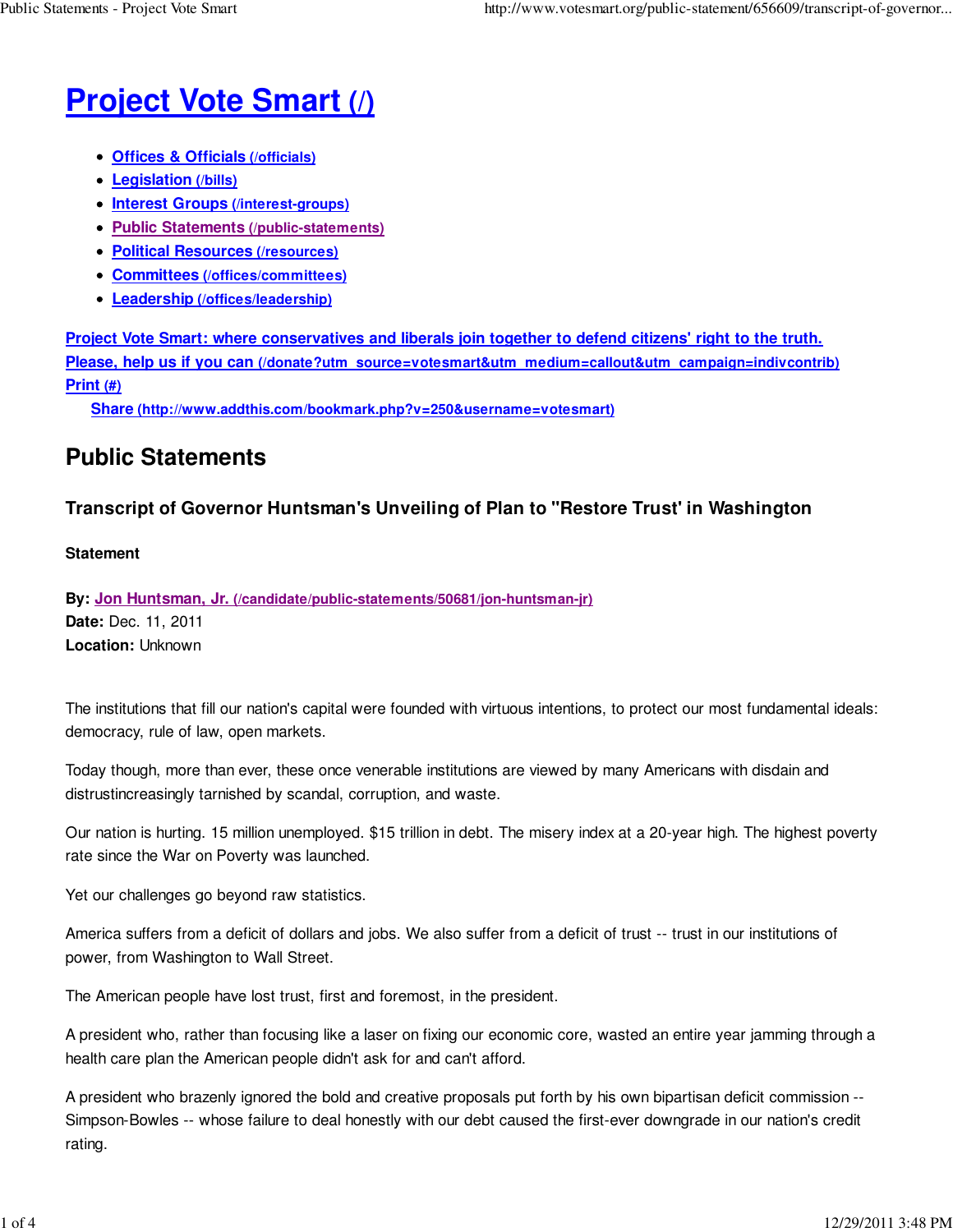# **Project Vote Smart (/)**

- **Offices & Officials (/officials)**
- **Legislation (/bills)**
- **Interest Groups (/interest-groups)**
- **Public Statements (/public-statements)**
- **Political Resources (/resources)**
- **Committees (/offices/committees)**
- **Leadership (/offices/leadership)**

**Project Vote Smart: where conservatives and liberals join together to defend citizens' right to the truth. Please, help us if you can (/donate?utm\_source=votesmart&utm\_medium=callout&utm\_campaign=indivcontrib) Print (#)**

**Share (http://www.addthis.com/bookmark.php?v=250&username=votesmart)**

# **Public Statements**

## **Transcript of Governor Huntsman's Unveiling of Plan to "Restore Trust' in Washington**

### **Statement**

**By: Jon Huntsman, Jr. (/candidate/public-statements/50681/jon-huntsman-jr) Date:** Dec. 11, 2011 **Location:** Unknown

The institutions that fill our nation's capital were founded with virtuous intentions, to protect our most fundamental ideals: democracy, rule of law, open markets.

Today though, more than ever, these once venerable institutions are viewed by many Americans with disdain and distrustincreasingly tarnished by scandal, corruption, and waste.

Our nation is hurting. 15 million unemployed. \$15 trillion in debt. The misery index at a 20-year high. The highest poverty rate since the War on Poverty was launched.

Yet our challenges go beyond raw statistics.

America suffers from a deficit of dollars and jobs. We also suffer from a deficit of trust -- trust in our institutions of power, from Washington to Wall Street.

The American people have lost trust, first and foremost, in the president.

A president who, rather than focusing like a laser on fixing our economic core, wasted an entire year jamming through a health care plan the American people didn't ask for and can't afford.

A president who brazenly ignored the bold and creative proposals put forth by his own bipartisan deficit commission -- Simpson-Bowles -- whose failure to deal honestly with our debt caused the first-ever downgrade in our nation's credit rating.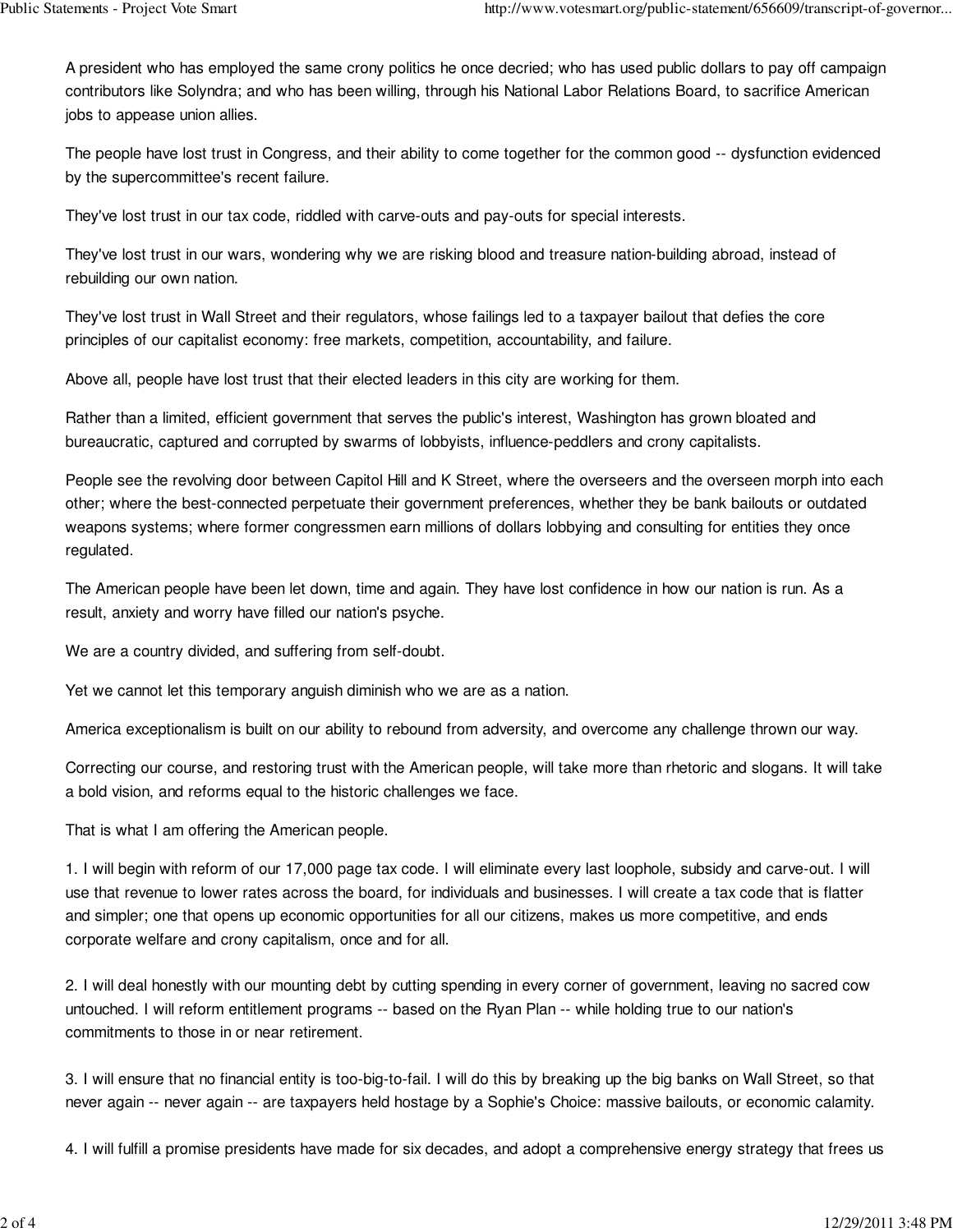A president who has employed the same crony politics he once decried; who has used public dollars to pay off campaign contributors like Solyndra; and who has been willing, through his National Labor Relations Board, to sacrifice American jobs to appease union allies.

The people have lost trust in Congress, and their ability to come together for the common good -- dysfunction evidenced by the supercommittee's recent failure.

They've lost trust in our tax code, riddled with carve-outs and pay-outs for special interests.

They've lost trust in our wars, wondering why we are risking blood and treasure nation-building abroad, instead of rebuilding our own nation.

They've lost trust in Wall Street and their regulators, whose failings led to a taxpayer bailout that defies the core principles of our capitalist economy: free markets, competition, accountability, and failure.

Above all, people have lost trust that their elected leaders in this city are working for them.

Rather than a limited, efficient government that serves the public's interest, Washington has grown bloated and bureaucratic, captured and corrupted by swarms of lobbyists, influence-peddlers and crony capitalists.

People see the revolving door between Capitol Hill and K Street, where the overseers and the overseen morph into each other; where the best-connected perpetuate their government preferences, whether they be bank bailouts or outdated weapons systems; where former congressmen earn millions of dollars lobbying and consulting for entities they once regulated.

The American people have been let down, time and again. They have lost confidence in how our nation is run. As a result, anxiety and worry have filled our nation's psyche.

We are a country divided, and suffering from self-doubt.

Yet we cannot let this temporary anguish diminish who we are as a nation.

America exceptionalism is built on our ability to rebound from adversity, and overcome any challenge thrown our way.

Correcting our course, and restoring trust with the American people, will take more than rhetoric and slogans. It will take a bold vision, and reforms equal to the historic challenges we face.

That is what I am offering the American people.

1. I will begin with reform of our 17,000 page tax code. I will eliminate every last loophole, subsidy and carve-out. I will use that revenue to lower rates across the board, for individuals and businesses. I will create a tax code that is flatter and simpler; one that opens up economic opportunities for all our citizens, makes us more competitive, and ends corporate welfare and crony capitalism, once and for all.

2. I will deal honestly with our mounting debt by cutting spending in every corner of government, leaving no sacred cow untouched. I will reform entitlement programs -- based on the Ryan Plan -- while holding true to our nation's commitments to those in or near retirement.

3. I will ensure that no financial entity is too-big-to-fail. I will do this by breaking up the big banks on Wall Street, so that never again -- never again -- are taxpayers held hostage by a Sophie's Choice: massive bailouts, or economic calamity.

4. I will fulfill a promise presidents have made for six decades, and adopt a comprehensive energy strategy that frees us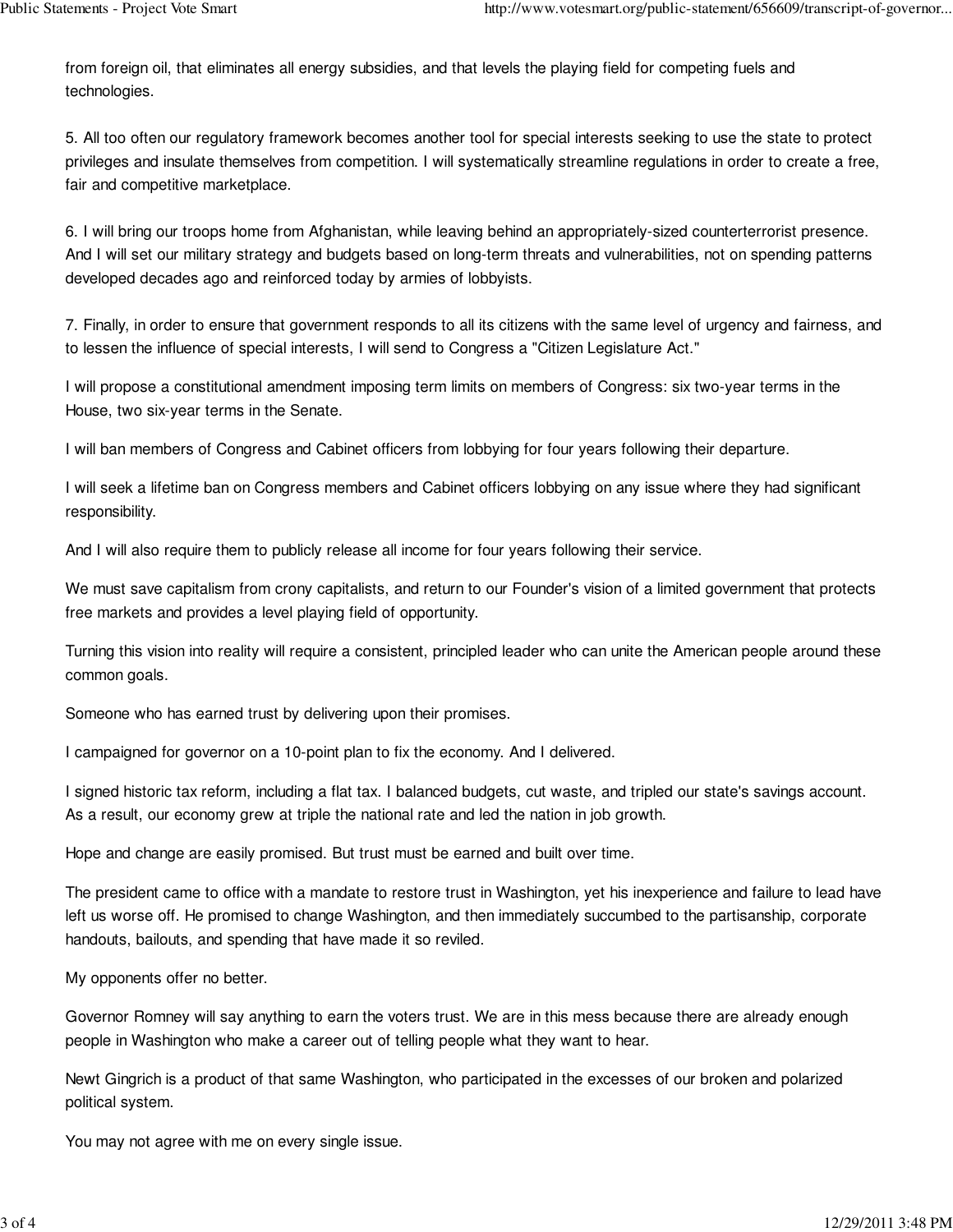from foreign oil, that eliminates all energy subsidies, and that levels the playing field for competing fuels and technologies.

5. All too often our regulatory framework becomes another tool for special interests seeking to use the state to protect privileges and insulate themselves from competition. I will systematically streamline regulations in order to create a free, fair and competitive marketplace.

6. I will bring our troops home from Afghanistan, while leaving behind an appropriately-sized counterterrorist presence. And I will set our military strategy and budgets based on long-term threats and vulnerabilities, not on spending patterns developed decades ago and reinforced today by armies of lobbyists.

7. Finally, in order to ensure that government responds to all its citizens with the same level of urgency and fairness, and to lessen the influence of special interests, I will send to Congress a "Citizen Legislature Act."

I will propose a constitutional amendment imposing term limits on members of Congress: six two-year terms in the House, two six-year terms in the Senate.

I will ban members of Congress and Cabinet officers from lobbying for four years following their departure.

I will seek a lifetime ban on Congress members and Cabinet officers lobbying on any issue where they had significant responsibility.

And I will also require them to publicly release all income for four years following their service.

We must save capitalism from crony capitalists, and return to our Founder's vision of a limited government that protects free markets and provides a level playing field of opportunity.

Turning this vision into reality will require a consistent, principled leader who can unite the American people around these common goals.

Someone who has earned trust by delivering upon their promises.

I campaigned for governor on a 10-point plan to fix the economy. And I delivered.

I signed historic tax reform, including a flat tax. I balanced budgets, cut waste, and tripled our state's savings account. As a result, our economy grew at triple the national rate and led the nation in job growth.

Hope and change are easily promised. But trust must be earned and built over time.

The president came to office with a mandate to restore trust in Washington, yet his inexperience and failure to lead have left us worse off. He promised to change Washington, and then immediately succumbed to the partisanship, corporate handouts, bailouts, and spending that have made it so reviled.

My opponents offer no better.

Governor Romney will say anything to earn the voters trust. We are in this mess because there are already enough people in Washington who make a career out of telling people what they want to hear.

Newt Gingrich is a product of that same Washington, who participated in the excesses of our broken and polarized political system.

You may not agree with me on every single issue.